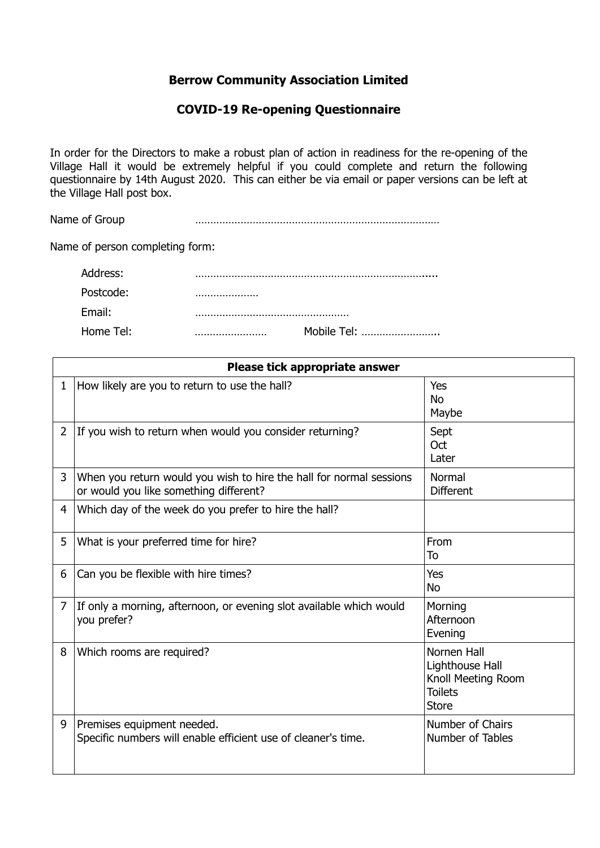## **Berrow Community Association Limited**

## **COVID-19 Re-opening Questionnaire**

In order for the Directors to make a robust plan of action in readiness for the re-opening of the Village Hall it would be extremely helpful if you could complete and return the following questionnaire by 14th August 2020. This can either be via email or paper versions can be left at the Village Hall post box.

Name of Group **with a matter of Group with a matter of Group with a matter of Group** 

Name of person completing form:

| Address:  |             |  |
|-----------|-------------|--|
| Postcode: |             |  |
| Email:    |             |  |
| Home Tel: | Mobile Tel: |  |

|              | Please tick appropriate answer                                                                                |                                                                                        |  |
|--------------|---------------------------------------------------------------------------------------------------------------|----------------------------------------------------------------------------------------|--|
| $\mathbf{1}$ | How likely are you to return to use the hall?                                                                 | Yes<br><b>No</b><br>Maybe                                                              |  |
| 2            | If you wish to return when would you consider returning?                                                      | Sept<br>Oct<br>Later                                                                   |  |
| 3            | When you return would you wish to hire the hall for normal sessions<br>or would you like something different? | Normal<br><b>Different</b>                                                             |  |
| 4            | Which day of the week do you prefer to hire the hall?                                                         |                                                                                        |  |
| 5            | What is your preferred time for hire?                                                                         | From<br>To                                                                             |  |
| 6            | Can you be flexible with hire times?                                                                          | Yes<br><b>No</b>                                                                       |  |
| 7            | If only a morning, afternoon, or evening slot available which would<br>you prefer?                            | Morning<br>Afternoon<br>Evening                                                        |  |
| 8            | Which rooms are required?                                                                                     | Nornen Hall<br>Lighthouse Hall<br>Knoll Meeting Room<br><b>Toilets</b><br><b>Store</b> |  |
| 9            | Premises equipment needed.<br>Specific numbers will enable efficient use of cleaner's time.                   | Number of Chairs<br>Number of Tables                                                   |  |